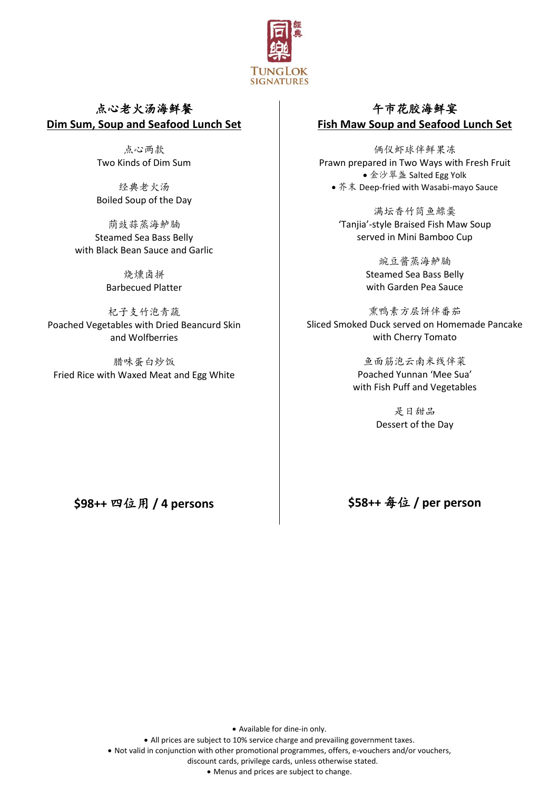

# 点心老火汤海鲜餐 **Dim Sum, Soup and Seafood Lunch Set**

点心两款 Two Kinds of Dim Sum

经典老火汤 Boiled Soup of the Day

荫豉蒜蒸海鲈腩 Steamed Sea Bass Belly with Black Bean Sauce and Garlic

> 烧燻卤拼 Barbecued Platter

杞子支竹泡青蔬 Poached Vegetables with Dried Beancurd Skin and Wolfberries

腊味蛋白炒饭 Fried Rice with Waxed Meat and Egg White

# 午市花胶海鲜宴 **Fish Maw Soup and Seafood Lunch Set**

俩仪虾球伴鲜果冻 Prawn prepared in Two Ways with Fresh Fruit ● 金沙翠盏 Salted Egg Yolk • 芥末 Deep-fried with Wasabi-mayo Sauce

> 满坛香竹筒鱼鰾羹 'Tanjia'-style Braised Fish Maw Soup served in Mini Bamboo Cup

> > 豌豆酱蒸海鲈腩 Steamed Sea Bass Belly with Garden Pea Sauce

熏鸭素方层饼伴番茄 Sliced Smoked Duck served on Homemade Pancake with Cherry Tomato

> 鱼面筋泡云南米线伴菜 Poached Yunnan 'Mee Sua' with Fish Puff and Vegetables

> > 是日甜品 Dessert of the Day

**\$98++** 四位用 **/ 4 persons**

**\$58++** 每位 **/ per person**

• Available for dine-in only.

• All prices are subject to 10% service charge and prevailing government taxes.

• Not valid in conjunction with other promotional programmes, offers, e-vouchers and/or vouchers,

discount cards, privilege cards, unless otherwise stated.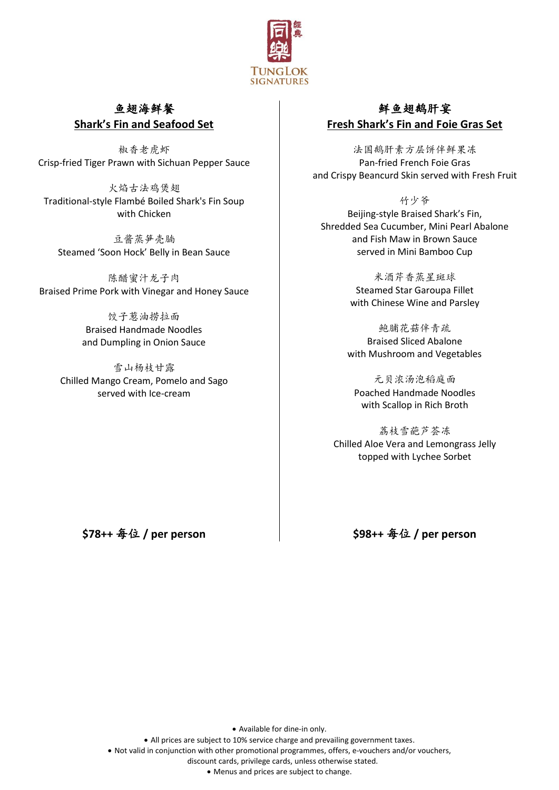

#### 鱼翅海鲜餐 **Shark's Fin and Seafood Set**

椒香老虎虾 Crisp-fried Tiger Prawn with Sichuan Pepper Sauce

火焰古法鸡煲翅 Traditional-style Flambé Boiled Shark's Fin Soup with Chicken

豆酱蒸笋壳腩 Steamed 'Soon Hock' Belly in Bean Sauce

陈醋蜜汁龙子肉 Braised Prime Pork with Vinegar and Honey Sauce

> 饺子葱油捞拉面 Braised Handmade Noodles and Dumpling in Onion Sauce

雪山杨枝甘露 Chilled Mango Cream, Pomelo and Sago served with Ice-cream

# 鲜鱼翅鹅肝宴 **Fresh Shark's Fin and Foie Gras Set**

法国鹅肝素方层饼伴鲜果冻 Pan-fried French Foie Gras and Crispy Beancurd Skin served with Fresh Fruit

竹少爷 Beijing-style Braised Shark's Fin, Shredded Sea Cucumber, Mini Pearl Abalone and Fish Maw in Brown Sauce served in Mini Bamboo Cup

> 米酒芹香蒸星斑球 Steamed Star Garoupa Fillet with Chinese Wine and Parsley

鲍脯花菇伴青疏 Braised Sliced Abalone with Mushroom and Vegetables

元贝浓汤泡稻庭面 Poached Handmade Noodles with Scallop in Rich Broth

荔枝雪葩芦荟冻 Chilled Aloe Vera and Lemongrass Jelly topped with Lychee Sorbet

**\$78++** 每位 **/ per person**

**\$98++** 每位 **/ per person**

• Available for dine-in only.

• All prices are subject to 10% service charge and prevailing government taxes.

• Not valid in conjunction with other promotional programmes, offers, e-vouchers and/or vouchers,

discount cards, privilege cards, unless otherwise stated.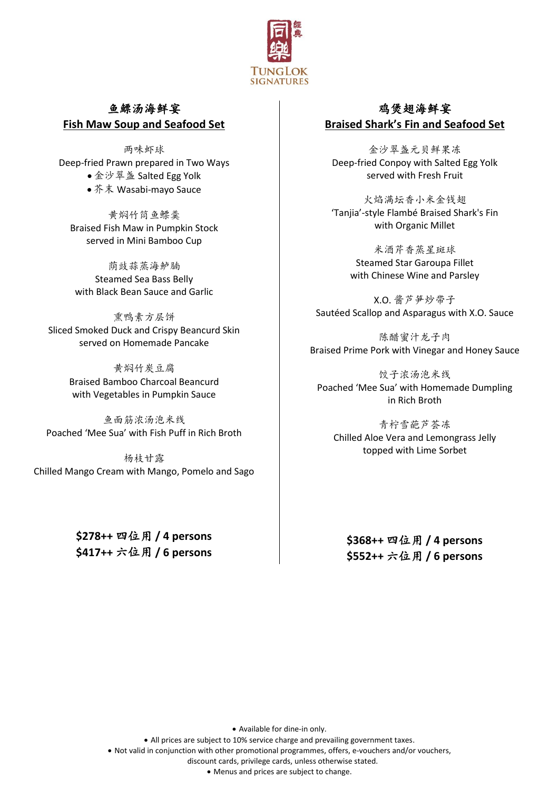

### 鱼鰾汤海鲜宴 **Fish Maw Soup and Seafood Set**

两味虾球 Deep-fried Prawn prepared in Two Ways • 金沙翠盏 Salted Egg Yolk • 芥末 Wasabi-mayo Sauce

黄焖竹筒鱼鳔羹 Braised Fish Maw in Pumpkin Stock served in Mini Bamboo Cup

荫豉蒜蒸海鲈腩 Steamed Sea Bass Belly with Black Bean Sauce and Garlic

熏鸭素方层饼 Sliced Smoked Duck and Crispy Beancurd Skin served on Homemade Pancake

> 黄焖竹炭豆腐 Braised Bamboo Charcoal Beancurd with Vegetables in Pumpkin Sauce

鱼面筋浓汤泡米线 Poached 'Mee Sua' with Fish Puff in Rich Broth

杨枝甘露 Chilled Mango Cream with Mango, Pomelo and Sago

> **\$278++** 四位用 **/ 4 persons \$417++** 六位用 **/ 6 persons**

# 鸡煲翅海鲜宴 **Braised Shark's Fin and Seafood Set**

金沙翠盏元贝鲜果冻 Deep-fried Conpoy with Salted Egg Yolk served with Fresh Fruit

火焰满坛香小米金钱翅 'Tanjia'-style Flambé Braised Shark's Fin with Organic Millet

米酒芹香蒸星斑球 Steamed Star Garoupa Fillet with Chinese Wine and Parsley

X.O. 酱芦笋炒带子 Sautéed Scallop and Asparagus with X.O. Sauce

陈醋蜜汁龙子肉 Braised Prime Pork with Vinegar and Honey Sauce

饺子浓汤泡米线 Poached 'Mee Sua' with Homemade Dumpling in Rich Broth

青柠雪葩芦荟冻 Chilled Aloe Vera and Lemongrass Jelly topped with Lime Sorbet

**\$368++** 四位用 **/ 4 persons \$552++** 六位用 **/ 6 persons**

• Available for dine-in only.

• All prices are subject to 10% service charge and prevailing government taxes.

• Not valid in conjunction with other promotional programmes, offers, e-vouchers and/or vouchers,

discount cards, privilege cards, unless otherwise stated.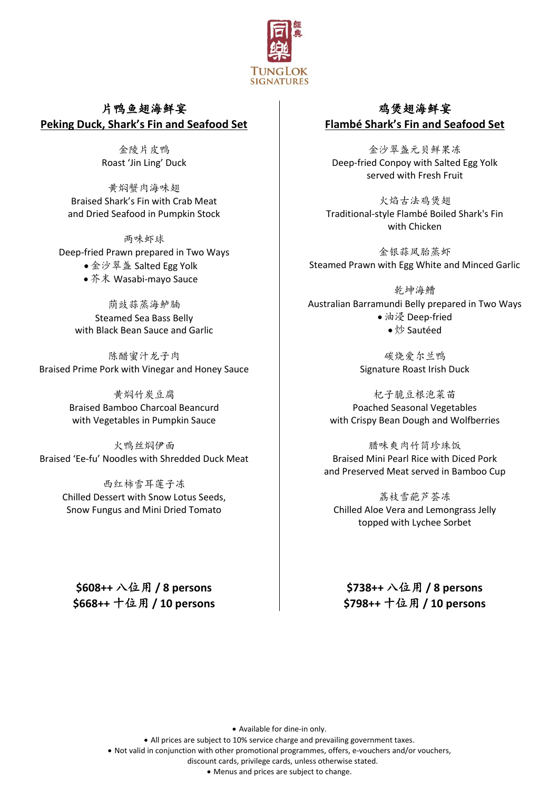

# 片鸭鱼翅海鲜宴 **Peking Duck, Shark's Fin and Seafood Set**

金陵片皮鸭 Roast 'Jin Ling' Duck

黄焖蟹肉海味翅 Braised Shark's Fin with Crab Meat and Dried Seafood in Pumpkin Stock

两味虾球 Deep-fried Prawn prepared in Two Ways ● 金沙翠盏 Salted Egg Yolk • 芥末 Wasabi-mayo Sauce

荫豉蒜蒸海鲈腩 Steamed Sea Bass Belly with Black Bean Sauce and Garlic

陈醋蜜汁龙子肉 Braised Prime Pork with Vinegar and Honey Sauce

> 黄焖竹炭豆腐 Braised Bamboo Charcoal Beancurd with Vegetables in Pumpkin Sauce

火鸭丝焖伊面 Braised 'Ee-fu' Noodles with Shredded Duck Meat

> 西红柿雪耳莲子冻 Chilled Dessert with Snow Lotus Seeds, Snow Fungus and Mini Dried Tomato

**\$608++** 八位用 **/ 8 persons \$668++** 十位用 **/ 10 persons**

# 鸡煲翅海鲜宴 **Flambé Shark's Fin and Seafood Set**

金沙翠盏元贝鲜果冻 Deep-fried Conpoy with Salted Egg Yolk served with Fresh Fruit

火焰古法鸡煲翅 Traditional-style Flambé Boiled Shark's Fin with Chicken

金银蒜凤胎蒸虾 Steamed Prawn with Egg White and Minced Garlic

乾坤海鰽 Australian Barramundi Belly prepared in Two Ways • 油浸 Deep-fried • 炒 Sautéed

> 碳烧爱尔兰鸭 Signature Roast Irish Duck

杞子脆豆根泡菜苗 Poached Seasonal Vegetables with Crispy Bean Dough and Wolfberries

腊味爽肉竹筒珍珠饭 Braised Mini Pearl Rice with Diced Pork and Preserved Meat served in Bamboo Cup

荔枝雪葩芦荟冻 Chilled Aloe Vera and Lemongrass Jelly topped with Lychee Sorbet

**\$738++** 八位用 **/ 8 persons \$798++** 十位用 **/ 10 persons**

• Available for dine-in only.

• All prices are subject to 10% service charge and prevailing government taxes.

• Not valid in conjunction with other promotional programmes, offers, e-vouchers and/or vouchers,

discount cards, privilege cards, unless otherwise stated.